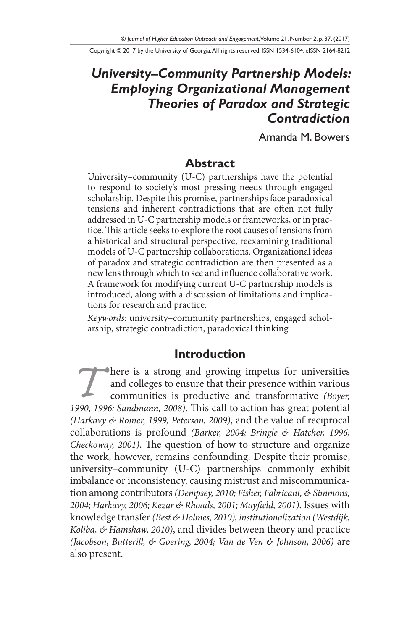Copyright © 2017 by the University of Georgia. All rights reserved. ISSN 1534-6104, eISSN 2164-8212

# *University–Community Partnership Models: Employing Organizational Management Theories of Paradox and Strategic Contradiction*

Amanda M. Bowers

#### **Abstract**

University–community (U-C) partnerships have the potential to respond to society's most pressing needs through engaged scholarship. Despite this promise, partnerships face paradoxical tensions and inherent contradictions that are often not fully addressed in U-C partnership models or frameworks, or in practice. This article seeks to explore the root causes of tensions from a historical and structural perspective, reexamining traditional models of U-C partnership collaborations. Organizational ideas of paradox and strategic contradiction are then presented as a new lens through which to see and influence collaborative work. A framework for modifying current U-C partnership models is introduced, along with a discussion of limitations and implications for research and practice.

*Keywords:* university–community partnerships, engaged scholarship, strategic contradiction, paradoxical thinking

### **Introduction**

**There is a strong and growing impetus for universities** and colleges to ensure that their presence within various communities is productive and transformative *(Boyer, 1990, 1996; Sandmann, 2008)*. This call to action has great potential *(Harkavy & Romer, 1999; Peterson, 2009)*, and the value of reciprocal collaborations is profound *(Barker, 2004; Bringle & Hatcher, 1996; Checkoway, 2001)*. The question of how to structure and organize the work, however, remains confounding. Despite their promise, university–community (U-C) partnerships commonly exhibit imbalance or inconsistency, causing mistrust and miscommunication among contributors *(Dempsey, 2010; Fisher, Fabricant, & Simmons, 2004; Harkavy, 2006; Kezar & Rhoads, 2001; Mayfield, 2001)*. Issues with knowledge transfer *(Best & Holmes, 2010), institutionalization (Westdijk, Koliba, & Hamshaw, 2010)*, and divides between theory and practice *(Jacobson, Butterill, & Goering, 2004; Van de Ven & Johnson, 2006)* are also present.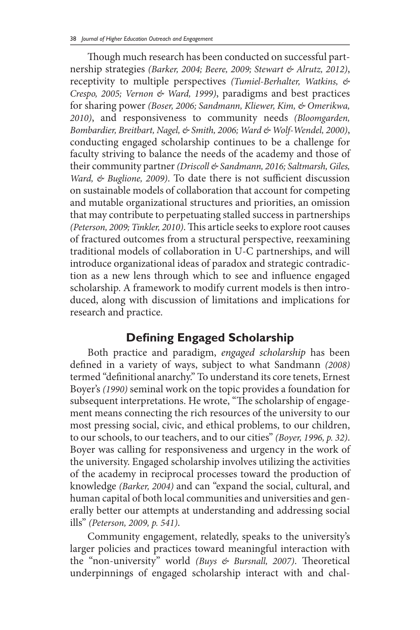Though much research has been conducted on successful partnership strategies *(Barker, 2004; Beere, 2009; Stewart & Alrutz, 2012)*, receptivity to multiple perspectives *(Tumiel-Berhalter, Watkins, & Crespo, 2005; Vernon & Ward, 1999)*, paradigms and best practices for sharing power *(Boser, 2006; Sandmann, Kliewer, Kim, & Omerikwa, 2010)*, and responsiveness to community needs *(Bloomgarden, Bombardier, Breitbart, Nagel, & Smith, 2006; Ward & Wolf-Wendel, 2000)*, conducting engaged scholarship continues to be a challenge for faculty striving to balance the needs of the academy and those of their community partner *(Driscoll & Sandmann, 2016; Saltmarsh, Giles, Ward, & Buglione, 2009)*. To date there is not sufficient discussion on sustainable models of collaboration that account for competing and mutable organizational structures and priorities, an omission that may contribute to perpetuating stalled success in partnerships *(Peterson, 2009; Tinkler, 2010)*. This article seeks to explore root causes of fractured outcomes from a structural perspective, reexamining traditional models of collaboration in U-C partnerships, and will introduce organizational ideas of paradox and strategic contradiction as a new lens through which to see and influence engaged scholarship. A framework to modify current models is then introduced, along with discussion of limitations and implications for research and practice.

# **Defining Engaged Scholarship**

Both practice and paradigm, *engaged scholarship* has been defined in a variety of ways, subject to what Sandmann *(2008)*  termed "definitional anarchy." To understand its core tenets, Ernest Boyer's *(1990)* seminal work on the topic provides a foundation for subsequent interpretations. He wrote, "The scholarship of engagement means connecting the rich resources of the university to our most pressing social, civic, and ethical problems, to our children, to our schools, to our teachers, and to our cities" *(Boyer, 1996, p. 32)*. Boyer was calling for responsiveness and urgency in the work of the university. Engaged scholarship involves utilizing the activities of the academy in reciprocal processes toward the production of knowledge *(Barker, 2004)* and can "expand the social, cultural, and human capital of both local communities and universities and generally better our attempts at understanding and addressing social ills" *(Peterson, 2009, p. 541)*.

Community engagement, relatedly, speaks to the university's larger policies and practices toward meaningful interaction with the "non-university" world *(Buys & Bursnall, 2007)*. Theoretical underpinnings of engaged scholarship interact with and chal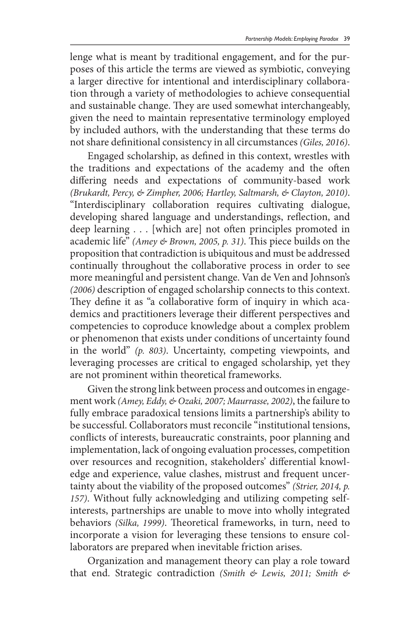lenge what is meant by traditional engagement, and for the purposes of this article the terms are viewed as symbiotic, conveying a larger directive for intentional and interdisciplinary collaboration through a variety of methodologies to achieve consequential and sustainable change. They are used somewhat interchangeably, given the need to maintain representative terminology employed by included authors, with the understanding that these terms do not share definitional consistency in all circumstances *(Giles, 2016)*.

Engaged scholarship, as defined in this context, wrestles with the traditions and expectations of the academy and the often differing needs and expectations of community-based work *(Brukardt, Percy, & Zimpher, 2006; Hartley, Saltmarsh, & Clayton, 2010)*. "Interdisciplinary collaboration requires cultivating dialogue, developing shared language and understandings, reflection, and deep learning . . . [which are] not often principles promoted in academic life" *(Amey & Brown, 2005, p. 31)*. This piece builds on the proposition that contradiction is ubiquitous and must be addressed continually throughout the collaborative process in order to see more meaningful and persistent change. Van de Ven and Johnson's *(2006)* description of engaged scholarship connects to this context. They define it as "a collaborative form of inquiry in which academics and practitioners leverage their different perspectives and competencies to coproduce knowledge about a complex problem or phenomenon that exists under conditions of uncertainty found in the world" *(p. 803)*. Uncertainty, competing viewpoints, and leveraging processes are critical to engaged scholarship, yet they are not prominent within theoretical frameworks.

Given the strong link between process and outcomes in engagement work *(Amey, Eddy, & Ozaki, 2007; Maurrasse, 2002)*, the failure to fully embrace paradoxical tensions limits a partnership's ability to be successful. Collaborators must reconcile "institutional tensions, conflicts of interests, bureaucratic constraints, poor planning and implementation, lack of ongoing evaluation processes, competition over resources and recognition, stakeholders' differential knowledge and experience, value clashes, mistrust and frequent uncertainty about the viability of the proposed outcomes" *(Strier, 2014, p. 157)*. Without fully acknowledging and utilizing competing selfinterests, partnerships are unable to move into wholly integrated behaviors *(Silka, 1999)*. Theoretical frameworks, in turn, need to incorporate a vision for leveraging these tensions to ensure collaborators are prepared when inevitable friction arises.

Organization and management theory can play a role toward that end. Strategic contradiction *(Smith & Lewis, 2011; Smith &*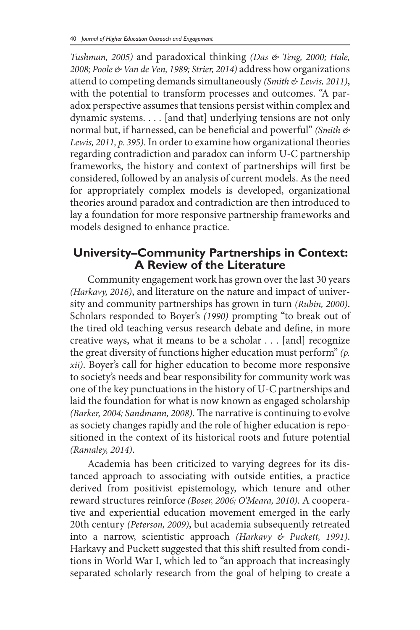*Tushman, 2005)* and paradoxical thinking *(Das & Teng, 2000; Hale, 2008; Poole & Van de Ven, 1989; Strier, 2014)* address how organizations attend to competing demands simultaneously *(Smith & Lewis, 2011)*, with the potential to transform processes and outcomes. "A paradox perspective assumes that tensions persist within complex and dynamic systems. . . . [and that] underlying tensions are not only normal but, if harnessed, can be beneficial and powerful" *(Smith & Lewis, 2011, p. 395)*. In order to examine how organizational theories regarding contradiction and paradox can inform U-C partnership frameworks, the history and context of partnerships will first be considered, followed by an analysis of current models. As the need for appropriately complex models is developed, organizational theories around paradox and contradiction are then introduced to lay a foundation for more responsive partnership frameworks and models designed to enhance practice.

# **University–Community Partnerships in Context: A Review of the Literature**

Community engagement work has grown over the last 30 years *(Harkavy, 2016)*, and literature on the nature and impact of university and community partnerships has grown in turn *(Rubin, 2000)*. Scholars responded to Boyer's *(1990)* prompting "to break out of the tired old teaching versus research debate and define, in more creative ways, what it means to be a scholar . . . [and] recognize the great diversity of functions higher education must perform" *(p. xii)*. Boyer's call for higher education to become more responsive to society's needs and bear responsibility for community work was one of the key punctuations in the history of U-C partnerships and laid the foundation for what is now known as engaged scholarship *(Barker, 2004; Sandmann, 2008)*. The narrative is continuing to evolve as society changes rapidly and the role of higher education is repositioned in the context of its historical roots and future potential *(Ramaley, 2014)*.

Academia has been criticized to varying degrees for its distanced approach to associating with outside entities, a practice derived from positivist epistemology, which tenure and other reward structures reinforce *(Boser, 2006; O'Meara, 2010)*. A cooperative and experiential education movement emerged in the early 20th century *(Peterson, 2009)*, but academia subsequently retreated into a narrow, scientistic approach *(Harkavy & Puckett, 1991)*. Harkavy and Puckett suggested that this shift resulted from conditions in World War I, which led to "an approach that increasingly separated scholarly research from the goal of helping to create a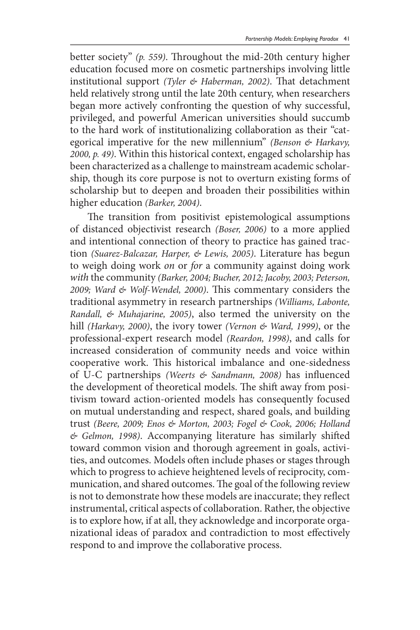better society" *(p. 559)*. Throughout the mid-20th century higher education focused more on cosmetic partnerships involving little institutional support *(Tyler & Haberman, 2002)*. That detachment held relatively strong until the late 20th century, when researchers began more actively confronting the question of why successful, privileged, and powerful American universities should succumb to the hard work of institutionalizing collaboration as their "categorical imperative for the new millennium" *(Benson & Harkavy, 2000, p. 49)*. Within this historical context, engaged scholarship has been characterized as a challenge to mainstream academic scholarship, though its core purpose is not to overturn existing forms of scholarship but to deepen and broaden their possibilities within higher education *(Barker, 2004)*.

The transition from positivist epistemological assumptions of distanced objectivist research *(Boser, 2006)* to a more applied and intentional connection of theory to practice has gained traction *(Suarez-Balcazar, Harper, & Lewis, 2005)*. Literature has begun to weigh doing work *on* or *for* a community against doing work *with* the community *(Barker, 2004; Bucher, 2012; Jacoby, 2003; Peterson, 2009; Ward & Wolf-Wendel, 2000)*. This commentary considers the traditional asymmetry in research partnerships *(Williams, Labonte, Randall, & Muhajarine, 2005)*, also termed the university on the hill *(Harkavy, 2000)*, the ivory tower *(Vernon & Ward, 1999)*, or the professional-expert research model *(Reardon, 1998)*, and calls for increased consideration of community needs and voice within cooperative work. This historical imbalance and one-sidedness of U-C partnerships *(Weerts & Sandmann, 2008)* has influenced the development of theoretical models. The shift away from positivism toward action-oriented models has consequently focused on mutual understanding and respect, shared goals, and building trust *(Beere, 2009; Enos & Morton, 2003; Fogel & Cook, 2006; Holland & Gelmon, 1998)*. Accompanying literature has similarly shifted toward common vision and thorough agreement in goals, activities, and outcomes. Models often include phases or stages through which to progress to achieve heightened levels of reciprocity, communication, and shared outcomes. The goal of the following review is not to demonstrate how these models are inaccurate; they reflect instrumental, critical aspects of collaboration. Rather, the objective is to explore how, if at all, they acknowledge and incorporate organizational ideas of paradox and contradiction to most effectively respond to and improve the collaborative process.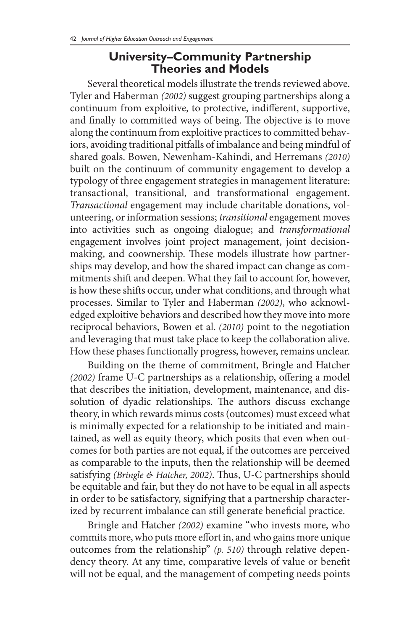### **University–Community Partnership Theories and Models**

Several theoretical models illustrate the trends reviewed above. Tyler and Haberman *(2002)* suggest grouping partnerships along a continuum from exploitive, to protective, indifferent, supportive, and finally to committed ways of being. The objective is to move along the continuum from exploitive practices to committed behaviors, avoiding traditional pitfalls of imbalance and being mindful of shared goals. Bowen, Newenham-Kahindi, and Herremans *(2010)*  built on the continuum of community engagement to develop a typology of three engagement strategies in management literature: transactional, transitional, and transformational engagement. *Transactional* engagement may include charitable donations, volunteering, or information sessions; *transitional* engagement moves into activities such as ongoing dialogue; and *transformational* engagement involves joint project management, joint decisionmaking, and coownership. These models illustrate how partnerships may develop, and how the shared impact can change as commitments shift and deepen. What they fail to account for, however, is how these shifts occur, under what conditions, and through what processes. Similar to Tyler and Haberman *(2002)*, who acknowledged exploitive behaviors and described how they move into more reciprocal behaviors, Bowen et al. *(2010)* point to the negotiation and leveraging that must take place to keep the collaboration alive. How these phases functionally progress, however, remains unclear.

Building on the theme of commitment, Bringle and Hatcher *(2002)* frame U-C partnerships as a relationship, offering a model that describes the initiation, development, maintenance, and dissolution of dyadic relationships. The authors discuss exchange theory, in which rewards minus costs (outcomes) must exceed what is minimally expected for a relationship to be initiated and maintained, as well as equity theory, which posits that even when outcomes for both parties are not equal, if the outcomes are perceived as comparable to the inputs, then the relationship will be deemed satisfying *(Bringle & Hatcher, 2002)*. Thus, U-C partnerships should be equitable and fair, but they do not have to be equal in all aspects in order to be satisfactory, signifying that a partnership characterized by recurrent imbalance can still generate beneficial practice.

Bringle and Hatcher *(2002)* examine "who invests more, who commits more, who puts more effort in, and who gains more unique outcomes from the relationship" *(p. 510)* through relative dependency theory. At any time, comparative levels of value or benefit will not be equal, and the management of competing needs points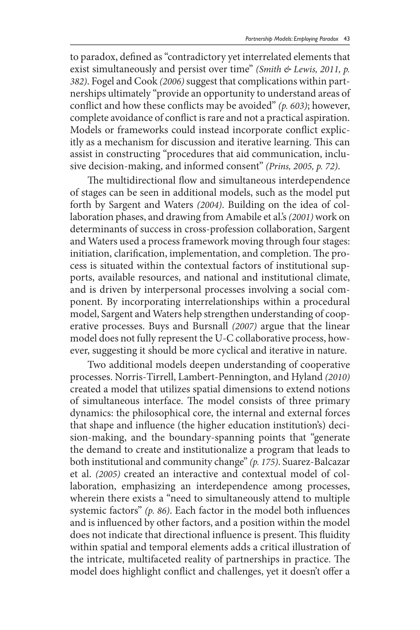to paradox, defined as "contradictory yet interrelated elements that exist simultaneously and persist over time" *(Smith & Lewis, 2011, p. 382)*. Fogel and Cook *(2006)* suggest that complications within partnerships ultimately "provide an opportunity to understand areas of conflict and how these conflicts may be avoided" *(p. 603)*; however, complete avoidance of conflict is rare and not a practical aspiration. Models or frameworks could instead incorporate conflict explicitly as a mechanism for discussion and iterative learning. This can assist in constructing "procedures that aid communication, inclusive decision-making, and informed consent" *(Prins, 2005, p. 72)*.

The multidirectional flow and simultaneous interdependence of stages can be seen in additional models, such as the model put forth by Sargent and Waters *(2004)*. Building on the idea of collaboration phases, and drawing from Amabile et al.'s *(2001)* work on determinants of success in cross-profession collaboration, Sargent and Waters used a process framework moving through four stages: initiation, clarification, implementation, and completion. The process is situated within the contextual factors of institutional supports, available resources, and national and institutional climate, and is driven by interpersonal processes involving a social component. By incorporating interrelationships within a procedural model, Sargent and Waters help strengthen understanding of cooperative processes. Buys and Bursnall *(2007)* argue that the linear model does not fully represent the U-C collaborative process, however, suggesting it should be more cyclical and iterative in nature.

Two additional models deepen understanding of cooperative processes. Norris-Tirrell, Lambert-Pennington, and Hyland *(2010)*  created a model that utilizes spatial dimensions to extend notions of simultaneous interface. The model consists of three primary dynamics: the philosophical core, the internal and external forces that shape and influence (the higher education institution's) decision-making, and the boundary-spanning points that "generate the demand to create and institutionalize a program that leads to both institutional and community change" *(p. 175)*. Suarez-Balcazar et al. *(2005)* created an interactive and contextual model of collaboration, emphasizing an interdependence among processes, wherein there exists a "need to simultaneously attend to multiple systemic factors" *(p. 86)*. Each factor in the model both influences and is influenced by other factors, and a position within the model does not indicate that directional influence is present. This fluidity within spatial and temporal elements adds a critical illustration of the intricate, multifaceted reality of partnerships in practice. The model does highlight conflict and challenges, yet it doesn't offer a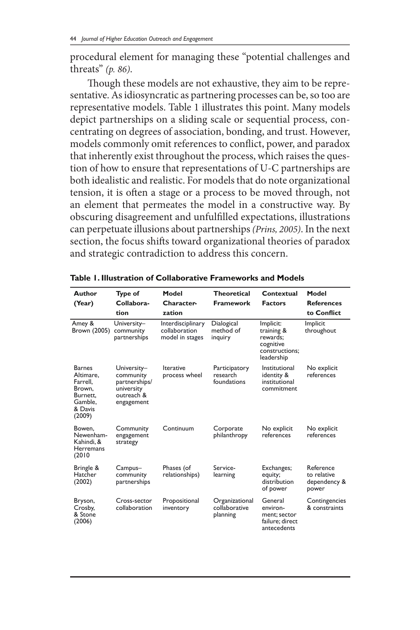procedural element for managing these "potential challenges and threats" *(p. 86)*.

Though these models are not exhaustive, they aim to be representative. As idiosyncratic as partnering processes can be, so too are representative models. Table 1 illustrates this point. Many models depict partnerships on a sliding scale or sequential process, concentrating on degrees of association, bonding, and trust. However, models commonly omit references to conflict, power, and paradox that inherently exist throughout the process, which raises the question of how to ensure that representations of U-C partnerships are both idealistic and realistic. For models that do note organizational tension, it is often a stage or a process to be moved through, not an element that permeates the model in a constructive way. By obscuring disagreement and unfulfilled expectations, illustrations can perpetuate illusions about partnerships *(Prins, 2005)*. In the next section, the focus shifts toward organizational theories of paradox and strategic contradiction to address this concern.

| Author<br>(Year)                                                                             | Type of<br>Collabora-                                                               | Model<br>Character-                                   | <b>Theoretical</b><br><b>Framework</b>      | Contextual<br><b>Factors</b>                                                     | Model<br><b>References</b>                        |
|----------------------------------------------------------------------------------------------|-------------------------------------------------------------------------------------|-------------------------------------------------------|---------------------------------------------|----------------------------------------------------------------------------------|---------------------------------------------------|
|                                                                                              | tion                                                                                | zation                                                |                                             |                                                                                  | to Conflict                                       |
| Amey &<br>Brown (2005)                                                                       | University-<br>community<br>partnerships                                            | Interdisciplinary<br>collaboration<br>model in stages | Dialogical<br>method of<br>inquiry          | Implicit:<br>training &<br>rewards:<br>cognitive<br>constructions:<br>leadership | Implicit<br>throughout                            |
| <b>Barnes</b><br>Altimare.<br>Farrell.<br>Brown.<br>Burnett.<br>Gamble.<br>& Davis<br>(2009) | University-<br>community<br>partnerships/<br>university<br>outreach &<br>engagement | Iterative<br>process wheel                            | Participatory<br>research<br>foundations    | Institutional<br>identity &<br>institutional<br>commitment                       | No explicit<br>references                         |
| Bowen.<br>Newenham-<br>Kahindi, &<br>Herremans<br>(2010)                                     | Community<br>engagement<br>strategy                                                 | Continuum                                             | Corporate<br>philanthropy                   | No explicit<br>references                                                        | No explicit<br>references                         |
| Bringle &<br>Hatcher<br>(2002)                                                               | Campus-<br>community<br>partnerships                                                | Phases (of<br>relationships)                          | Service-<br>learning                        | Exchanges;<br>equity;<br>distribution<br>of power                                | Reference<br>to relative<br>dependency &<br>power |
| Bryson,<br>Crosby,<br>& Stone<br>(2006)                                                      | Cross-sector<br>collaboration                                                       | Propositional<br>inventory                            | Organizational<br>collaborative<br>planning | General<br>environ-<br>ment; sector<br>failure; direct<br>antecedents            | Contingencies<br>& constraints                    |

**Table 1. Illustration of Collaborative Frameworks and Models**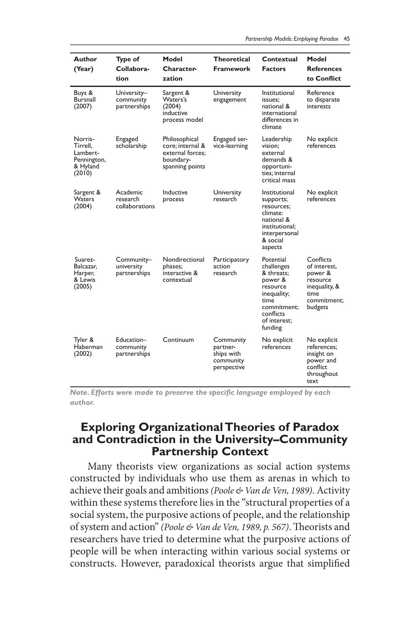| Author<br>(Year)                                                     | Type of<br>Collabora-<br>tion            | Model<br>Character-<br>zation                                                         | <b>Theoretical</b><br>Framework                                 | Contextual<br><b>Factors</b>                                                                                                               | Model<br><b>References</b><br>to Conflict                                                           |
|----------------------------------------------------------------------|------------------------------------------|---------------------------------------------------------------------------------------|-----------------------------------------------------------------|--------------------------------------------------------------------------------------------------------------------------------------------|-----------------------------------------------------------------------------------------------------|
| Buys &<br><b>Bursnall</b><br>(2007)                                  | University-<br>community<br>partnerships | Sargent &<br>Waters's<br>(2004)<br>inductive<br>process model                         | University<br>engagement                                        | Institutional<br>issues:<br>national &<br>international<br>differences in<br>climate                                                       | Reference<br>to disparate<br>interests                                                              |
| Norris-<br>Tirrell.<br>Lambert-<br>Pennington,<br>& Hyland<br>(2010) | Engaged<br>scholarship                   | Philosophical<br>core: internal &<br>external forces:<br>boundary-<br>spanning points | Engaged ser-<br>vice-learning                                   | Leadership<br>vision:<br>external<br>demands &<br>opportuni-<br>ties: internal<br>critical mass                                            | No explicit<br>references                                                                           |
| Sargent &<br>Waters<br>(2004)                                        | Academic<br>research<br>collaborations   | Inductive<br>process                                                                  | University<br>research                                          | Institutional<br>supports;<br>resources;<br>climate:<br>national &<br>institutional:<br>interpersonal<br>& social<br>aspects               | No explicit<br>references                                                                           |
| Suarez-<br>Balcazar,<br>Harper,<br>& Lewis<br>(2005)                 | Community–<br>university<br>partnerships | Nondirectional<br>phases;<br>interactive &<br>contextual                              | Participatory<br>action<br>research                             | Potential<br>challenges<br>& threats;<br>power &<br>resource<br>inequality;<br>time<br>commitment:<br>conflicts<br>of interest;<br>funding | Conflicts<br>of interest.<br>power &<br>resource<br>inequality, &<br>time<br>commitment:<br>budgets |
| Tyler &<br>Haberman<br>(2002)                                        | Education–<br>community<br>partnerships  | Continuum                                                                             | Community<br>partner-<br>ships with<br>community<br>perspective | No explicit<br>references                                                                                                                  | No explicit<br>references;<br>insight on<br>power and<br>confiict<br>throughout<br>text             |

*Note. Efforts were made to preserve the specific language employed by each author.*

#### **Exploring Organizational Theories of Paradox and Contradiction in the University–Community Partnership Context**

Many theorists view organizations as social action systems constructed by individuals who use them as arenas in which to achieve their goals and ambitions *(Poole & Van de Ven, 1989)*. Activity within these systems therefore lies in the "structural properties of a social system, the purposive actions of people, and the relationship of system and action" *(Poole & Van de Ven, 1989, p. 567)*. Theorists and researchers have tried to determine what the purposive actions of people will be when interacting within various social systems or constructs. However, paradoxical theorists argue that simplified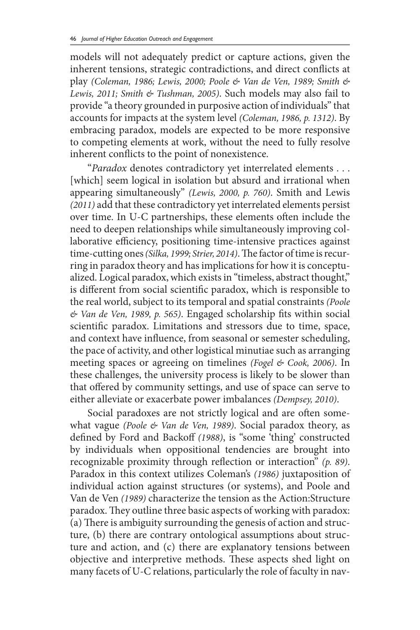models will not adequately predict or capture actions, given the inherent tensions, strategic contradictions, and direct conflicts at play *(Coleman, 1986; Lewis, 2000; Poole & Van de Ven, 1989; Smith & Lewis, 2011; Smith & Tushman, 2005)*. Such models may also fail to provide "a theory grounded in purposive action of individuals" that accounts for impacts at the system level *(Coleman, 1986, p. 1312)*. By embracing paradox, models are expected to be more responsive to competing elements at work, without the need to fully resolve inherent conflicts to the point of nonexistence.

"*Paradox* denotes contradictory yet interrelated elements . . . [which] seem logical in isolation but absurd and irrational when appearing simultaneously" *(Lewis, 2000, p. 760)*. Smith and Lewis *(2011)* add that these contradictory yet interrelated elements persist over time. In U-C partnerships, these elements often include the need to deepen relationships while simultaneously improving collaborative efficiency, positioning time-intensive practices against time-cutting ones *(Silka, 1999; Strier, 2014)*. The factor of time is recurring in paradox theory and has implications for how it is conceptualized. Logical paradox, which exists in "timeless, abstract thought," is different from social scientific paradox, which is responsible to the real world, subject to its temporal and spatial constraints *(Poole & Van de Ven, 1989, p. 565)*. Engaged scholarship fits within social scientific paradox. Limitations and stressors due to time, space, and context have influence, from seasonal or semester scheduling, the pace of activity, and other logistical minutiae such as arranging meeting spaces or agreeing on timelines *(Fogel & Cook, 2006)*. In these challenges, the university process is likely to be slower than that offered by community settings, and use of space can serve to either alleviate or exacerbate power imbalances *(Dempsey, 2010)*.

Social paradoxes are not strictly logical and are often somewhat vague *(Poole & Van de Ven, 1989)*. Social paradox theory, as defined by Ford and Backoff *(1988)*, is "some 'thing' constructed by individuals when oppositional tendencies are brought into recognizable proximity through reflection or interaction" *(p. 89)*. Paradox in this context utilizes Coleman's *(1986)* juxtaposition of individual action against structures (or systems), and Poole and Van de Ven *(1989)* characterize the tension as the Action:Structure paradox. They outline three basic aspects of working with paradox: (a) There is ambiguity surrounding the genesis of action and structure, (b) there are contrary ontological assumptions about structure and action, and (c) there are explanatory tensions between objective and interpretive methods. These aspects shed light on many facets of U-C relations, particularly the role of faculty in nav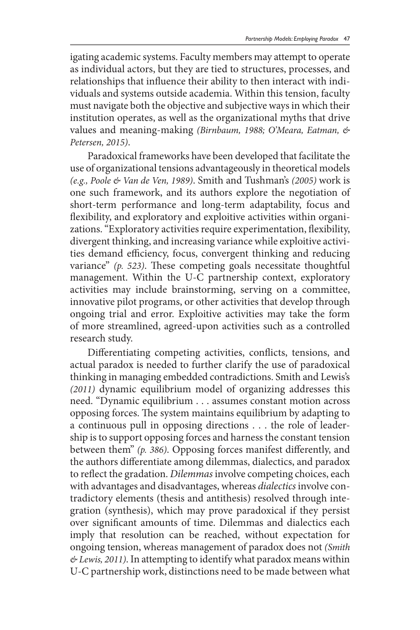igating academic systems. Faculty members may attempt to operate as individual actors, but they are tied to structures, processes, and relationships that influence their ability to then interact with individuals and systems outside academia. Within this tension, faculty must navigate both the objective and subjective ways in which their institution operates, as well as the organizational myths that drive values and meaning-making *(Birnbaum, 1988; O'Meara, Eatman, & Petersen, 2015)*.

Paradoxical frameworks have been developed that facilitate the use of organizational tensions advantageously in theoretical models *(e.g., Poole & Van de Ven, 1989)*. Smith and Tushman's *(2005)* work is one such framework, and its authors explore the negotiation of short-term performance and long-term adaptability, focus and flexibility, and exploratory and exploitive activities within organizations. "Exploratory activities require experimentation, flexibility, divergent thinking, and increasing variance while exploitive activities demand efficiency, focus, convergent thinking and reducing variance" *(p. 523)*. These competing goals necessitate thoughtful management. Within the U-C partnership context, exploratory activities may include brainstorming, serving on a committee, innovative pilot programs, or other activities that develop through ongoing trial and error. Exploitive activities may take the form of more streamlined, agreed-upon activities such as a controlled research study.

Differentiating competing activities, conflicts, tensions, and actual paradox is needed to further clarify the use of paradoxical thinking in managing embedded contradictions. Smith and Lewis's *(2011)* dynamic equilibrium model of organizing addresses this need. "Dynamic equilibrium . . . assumes constant motion across opposing forces. The system maintains equilibrium by adapting to a continuous pull in opposing directions . . . the role of leadership is to support opposing forces and harness the constant tension between them" *(p. 386)*. Opposing forces manifest differently, and the authors differentiate among dilemmas, dialectics, and paradox to reflect the gradation. *Dilemmas* involve competing choices, each with advantages and disadvantages, whereas *dialectics* involve contradictory elements (thesis and antithesis) resolved through integration (synthesis), which may prove paradoxical if they persist over significant amounts of time. Dilemmas and dialectics each imply that resolution can be reached, without expectation for ongoing tension, whereas management of paradox does not *(Smith & Lewis, 2011)*. In attempting to identify what paradox means within U-C partnership work, distinctions need to be made between what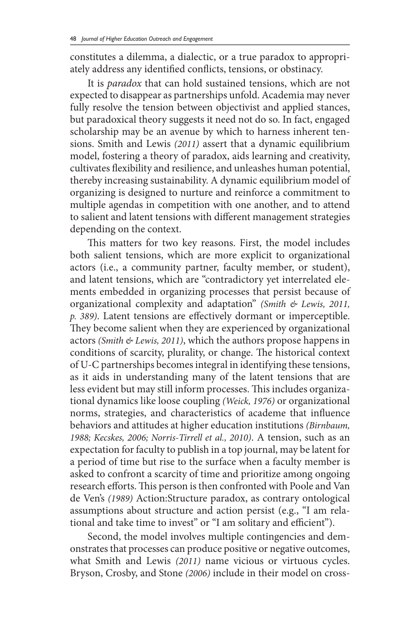constitutes a dilemma, a dialectic, or a true paradox to appropriately address any identified conflicts, tensions, or obstinacy.

It is *paradox* that can hold sustained tensions, which are not expected to disappear as partnerships unfold. Academia may never fully resolve the tension between objectivist and applied stances, but paradoxical theory suggests it need not do so. In fact, engaged scholarship may be an avenue by which to harness inherent tensions. Smith and Lewis *(2011)* assert that a dynamic equilibrium model, fostering a theory of paradox, aids learning and creativity, cultivates flexibility and resilience, and unleashes human potential, thereby increasing sustainability. A dynamic equilibrium model of organizing is designed to nurture and reinforce a commitment to multiple agendas in competition with one another, and to attend to salient and latent tensions with different management strategies depending on the context.

This matters for two key reasons. First, the model includes both salient tensions, which are more explicit to organizational actors (i.e., a community partner, faculty member, or student), and latent tensions, which are "contradictory yet interrelated elements embedded in organizing processes that persist because of organizational complexity and adaptation" *(Smith & Lewis, 2011, p. 389)*. Latent tensions are effectively dormant or imperceptible. They become salient when they are experienced by organizational actors *(Smith & Lewis, 2011)*, which the authors propose happens in conditions of scarcity, plurality, or change. The historical context of U-C partnerships becomes integral in identifying these tensions, as it aids in understanding many of the latent tensions that are less evident but may still inform processes. This includes organizational dynamics like loose coupling *(Weick, 1976)* or organizational norms, strategies, and characteristics of academe that influence behaviors and attitudes at higher education institutions *(Birnbaum, 1988; Kecskes, 2006; Norris-Tirrell et al., 2010)*. A tension, such as an expectation for faculty to publish in a top journal, may be latent for a period of time but rise to the surface when a faculty member is asked to confront a scarcity of time and prioritize among ongoing research efforts. This person is then confronted with Poole and Van de Ven's *(1989)* Action:Structure paradox, as contrary ontological assumptions about structure and action persist (e.g., "I am relational and take time to invest" or "I am solitary and efficient").

Second, the model involves multiple contingencies and demonstrates that processes can produce positive or negative outcomes, what Smith and Lewis *(2011)* name vicious or virtuous cycles. Bryson, Crosby, and Stone *(2006)* include in their model on cross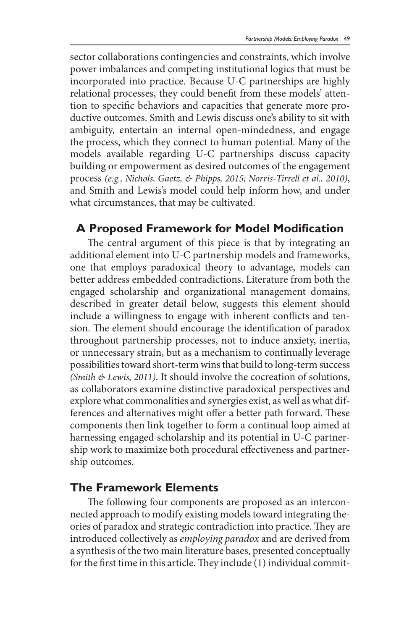sector collaborations contingencies and constraints, which involve power imbalances and competing institutional logics that must be incorporated into practice. Because U-C partnerships are highly relational processes, they could benefit from these models' attention to specific behaviors and capacities that generate more productive outcomes. Smith and Lewis discuss one's ability to sit with ambiguity, entertain an internal open-mindedness, and engage the process, which they connect to human potential. Many of the models available regarding U-C partnerships discuss capacity building or empowerment as desired outcomes of the engagement process *(e.g., Nichols, Gaetz, & Phipps, 2015; Norris-Tirrell et al., 2010)*, and Smith and Lewis's model could help inform how, and under what circumstances, that may be cultivated.

### **A Proposed Framework for Model Modification**

The central argument of this piece is that by integrating an additional element into U-C partnership models and frameworks, one that employs paradoxical theory to advantage, models can better address embedded contradictions. Literature from both the engaged scholarship and organizational management domains, described in greater detail below, suggests this element should include a willingness to engage with inherent conflicts and tension. The element should encourage the identification of paradox throughout partnership processes, not to induce anxiety, inertia, or unnecessary strain, but as a mechanism to continually leverage possibilities toward short-term wins that build to long-term success *(Smith & Lewis, 2011)*. It should involve the cocreation of solutions, as collaborators examine distinctive paradoxical perspectives and explore what commonalities and synergies exist, as well as what differences and alternatives might offer a better path forward. These components then link together to form a continual loop aimed at harnessing engaged scholarship and its potential in U-C partnership work to maximize both procedural effectiveness and partnership outcomes.

## **The Framework Elements**

The following four components are proposed as an interconnected approach to modify existing models toward integrating theories of paradox and strategic contradiction into practice. They are introduced collectively as *employing paradox* and are derived from a synthesis of the two main literature bases, presented conceptually for the first time in this article. They include (1) individual commit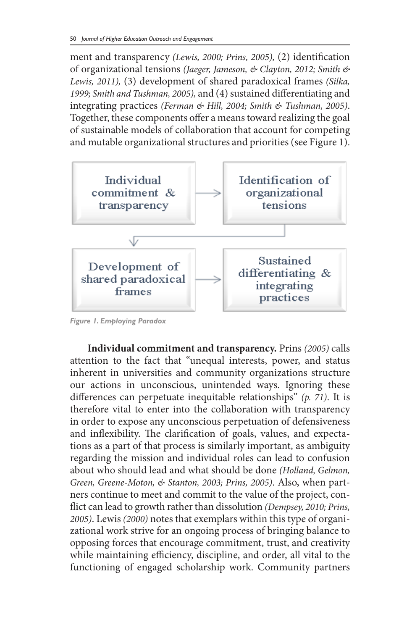ment and transparency *(Lewis, 2000; Prins, 2005),* (2) identification of organizational tensions *(Jaeger, Jameson, & Clayton, 2012; Smith & Lewis, 2011),* (3) development of shared paradoxical frames *(Silka, 1999; Smith and Tushman, 2005),* and (4) sustained differentiating and integrating practices *(Ferman & Hill, 2004; Smith & Tushman, 2005)*. Together, these components offer a means toward realizing the goal of sustainable models of collaboration that account for competing and mutable organizational structures and priorities (see Figure 1).



*Figure 1. Employing Paradox*

**Individual commitment and transparency.** Prins *(2005)* calls attention to the fact that "unequal interests, power, and status inherent in universities and community organizations structure our actions in unconscious, unintended ways. Ignoring these differences can perpetuate inequitable relationships" *(p. 71)*. It is therefore vital to enter into the collaboration with transparency in order to expose any unconscious perpetuation of defensiveness and inflexibility. The clarification of goals, values, and expectations as a part of that process is similarly important, as ambiguity regarding the mission and individual roles can lead to confusion about who should lead and what should be done *(Holland, Gelmon, Green, Greene-Moton, & Stanton, 2003; Prins, 2005)*. Also, when partners continue to meet and commit to the value of the project, conflict can lead to growth rather than dissolution *(Dempsey, 2010; Prins, 2005)*. Lewis *(2000)* notes that exemplars within this type of organizational work strive for an ongoing process of bringing balance to opposing forces that encourage commitment, trust, and creativity while maintaining efficiency, discipline, and order, all vital to the functioning of engaged scholarship work. Community partners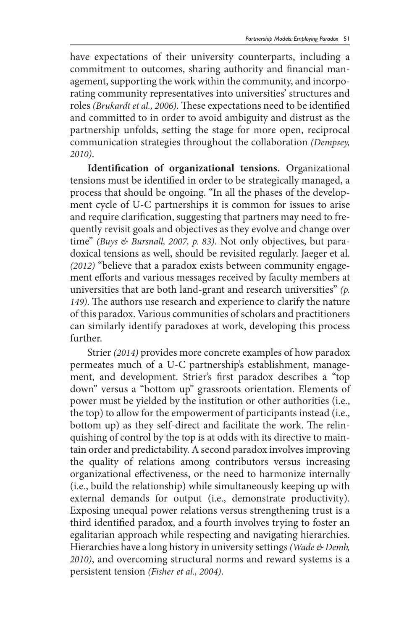have expectations of their university counterparts, including a commitment to outcomes, sharing authority and financial management, supporting the work within the community, and incorporating community representatives into universities' structures and roles *(Brukardt et al., 2006)*. These expectations need to be identified and committed to in order to avoid ambiguity and distrust as the partnership unfolds, setting the stage for more open, reciprocal communication strategies throughout the collaboration *(Dempsey, 2010)*.

**Identification of organizational tensions.** Organizational tensions must be identified in order to be strategically managed, a process that should be ongoing. "In all the phases of the development cycle of U-C partnerships it is common for issues to arise and require clarification, suggesting that partners may need to frequently revisit goals and objectives as they evolve and change over time" *(Buys & Bursnall, 2007, p. 83)*. Not only objectives, but paradoxical tensions as well, should be revisited regularly. Jaeger et al. *(2012)* "believe that a paradox exists between community engagement efforts and various messages received by faculty members at universities that are both land-grant and research universities" *(p. 149)*. The authors use research and experience to clarify the nature of this paradox. Various communities of scholars and practitioners can similarly identify paradoxes at work, developing this process further.

Strier *(2014)* provides more concrete examples of how paradox permeates much of a U-C partnership's establishment, management, and development. Strier's first paradox describes a "top down" versus a "bottom up" grassroots orientation. Elements of power must be yielded by the institution or other authorities (i.e., the top) to allow for the empowerment of participants instead (i.e., bottom up) as they self-direct and facilitate the work. The relinquishing of control by the top is at odds with its directive to maintain order and predictability. A second paradox involves improving the quality of relations among contributors versus increasing organizational effectiveness, or the need to harmonize internally (i.e., build the relationship) while simultaneously keeping up with external demands for output (i.e., demonstrate productivity). Exposing unequal power relations versus strengthening trust is a third identified paradox, and a fourth involves trying to foster an egalitarian approach while respecting and navigating hierarchies. Hierarchies have a long history in university settings *(Wade & Demb, 2010)*, and overcoming structural norms and reward systems is a persistent tension *(Fisher et al., 2004)*.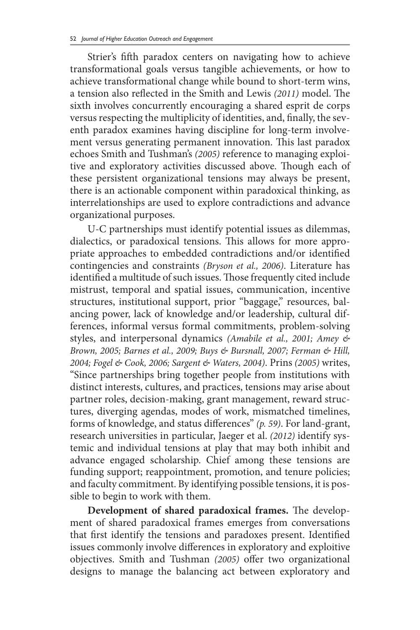Strier's fifth paradox centers on navigating how to achieve transformational goals versus tangible achievements, or how to achieve transformational change while bound to short-term wins, a tension also reflected in the Smith and Lewis *(2011)* model. The sixth involves concurrently encouraging a shared esprit de corps versus respecting the multiplicity of identities, and, finally, the seventh paradox examines having discipline for long-term involvement versus generating permanent innovation. This last paradox echoes Smith and Tushman's *(2005)* reference to managing exploitive and exploratory activities discussed above. Though each of these persistent organizational tensions may always be present, there is an actionable component within paradoxical thinking, as interrelationships are used to explore contradictions and advance organizational purposes.

U-C partnerships must identify potential issues as dilemmas, dialectics, or paradoxical tensions. This allows for more appropriate approaches to embedded contradictions and/or identified contingencies and constraints *(Bryson et al., 2006)*. Literature has identified a multitude of such issues. Those frequently cited include mistrust, temporal and spatial issues, communication, incentive structures, institutional support, prior "baggage," resources, balancing power, lack of knowledge and/or leadership, cultural differences, informal versus formal commitments, problem-solving styles, and interpersonal dynamics *(Amabile et al., 2001; Amey & Brown, 2005; Barnes et al., 2009; Buys & Bursnall, 2007; Ferman & Hill, 2004; Fogel & Cook, 2006; Sargent & Waters, 2004)*. Prins *(2005)* writes, "Since partnerships bring together people from institutions with distinct interests, cultures, and practices, tensions may arise about partner roles, decision-making, grant management, reward structures, diverging agendas, modes of work, mismatched timelines, forms of knowledge, and status differences" *(p. 59)*. For land-grant, research universities in particular, Jaeger et al. *(2012)* identify systemic and individual tensions at play that may both inhibit and advance engaged scholarship. Chief among these tensions are funding support; reappointment, promotion, and tenure policies; and faculty commitment. By identifying possible tensions, it is possible to begin to work with them.

**Development of shared paradoxical frames.** The development of shared paradoxical frames emerges from conversations that first identify the tensions and paradoxes present. Identified issues commonly involve differences in exploratory and exploitive objectives. Smith and Tushman *(2005)* offer two organizational designs to manage the balancing act between exploratory and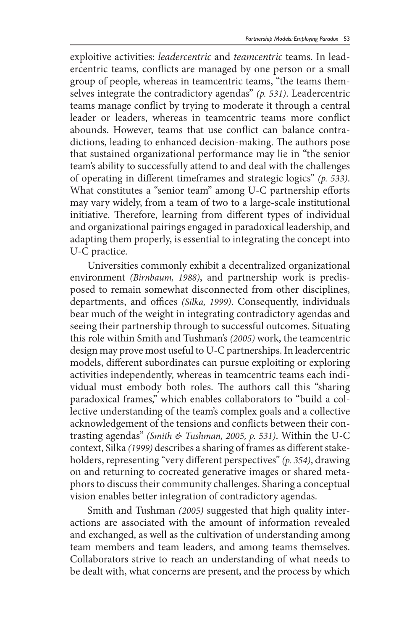exploitive activities: *leadercentric* and *teamcentric* teams. In leadercentric teams, conflicts are managed by one person or a small group of people, whereas in teamcentric teams, "the teams themselves integrate the contradictory agendas" *(p. 531)*. Leadercentric teams manage conflict by trying to moderate it through a central leader or leaders, whereas in teamcentric teams more conflict abounds. However, teams that use conflict can balance contradictions, leading to enhanced decision-making. The authors pose that sustained organizational performance may lie in "the senior team's ability to successfully attend to and deal with the challenges of operating in different timeframes and strategic logics" *(p. 533)*. What constitutes a "senior team" among U-C partnership efforts may vary widely, from a team of two to a large-scale institutional initiative. Therefore, learning from different types of individual and organizational pairings engaged in paradoxical leadership, and adapting them properly, is essential to integrating the concept into U-C practice.

Universities commonly exhibit a decentralized organizational environment *(Birnbaum, 1988)*, and partnership work is predisposed to remain somewhat disconnected from other disciplines, departments, and offices *(Silka, 1999)*. Consequently, individuals bear much of the weight in integrating contradictory agendas and seeing their partnership through to successful outcomes. Situating this role within Smith and Tushman's *(2005)* work, the teamcentric design may prove most useful to U-C partnerships. In leadercentric models, different subordinates can pursue exploiting or exploring activities independently, whereas in teamcentric teams each individual must embody both roles. The authors call this "sharing paradoxical frames," which enables collaborators to "build a collective understanding of the team's complex goals and a collective acknowledgement of the tensions and conflicts between their contrasting agendas" *(Smith & Tushman, 2005, p. 531)*. Within the U-C context, Silka *(1999)* describes a sharing of frames as different stakeholders, representing "very different perspectives" *(p. 354)*, drawing on and returning to cocreated generative images or shared metaphors to discuss their community challenges. Sharing a conceptual vision enables better integration of contradictory agendas.

Smith and Tushman *(2005)* suggested that high quality interactions are associated with the amount of information revealed and exchanged, as well as the cultivation of understanding among team members and team leaders, and among teams themselves. Collaborators strive to reach an understanding of what needs to be dealt with, what concerns are present, and the process by which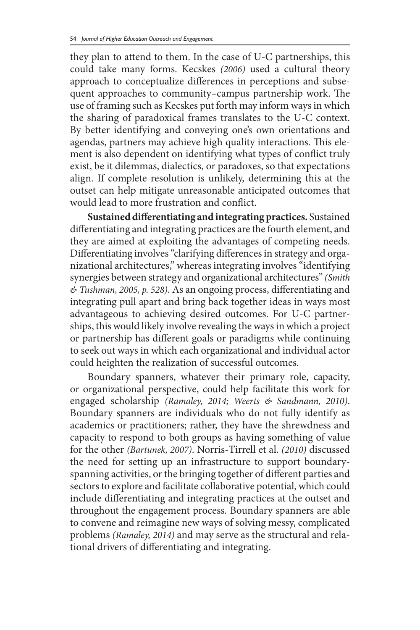they plan to attend to them. In the case of U-C partnerships, this could take many forms. Kecskes *(2006)* used a cultural theory approach to conceptualize differences in perceptions and subsequent approaches to community–campus partnership work. The use of framing such as Kecskes put forth may inform ways in which the sharing of paradoxical frames translates to the U-C context. By better identifying and conveying one's own orientations and agendas, partners may achieve high quality interactions. This element is also dependent on identifying what types of conflict truly exist, be it dilemmas, dialectics, or paradoxes, so that expectations align. If complete resolution is unlikely, determining this at the outset can help mitigate unreasonable anticipated outcomes that would lead to more frustration and conflict.

**Sustained differentiating and integrating practices.** Sustained differentiating and integrating practices are the fourth element, and they are aimed at exploiting the advantages of competing needs. Differentiating involves "clarifying differences in strategy and organizational architectures," whereas integrating involves "identifying synergies between strategy and organizational architectures" *(Smith & Tushman, 2005, p. 528)*. As an ongoing process, differentiating and integrating pull apart and bring back together ideas in ways most advantageous to achieving desired outcomes. For U-C partnerships, this would likely involve revealing the ways in which a project or partnership has different goals or paradigms while continuing to seek out ways in which each organizational and individual actor could heighten the realization of successful outcomes.

Boundary spanners, whatever their primary role, capacity, or organizational perspective, could help facilitate this work for engaged scholarship *(Ramaley, 2014; Weerts & Sandmann, 2010)*. Boundary spanners are individuals who do not fully identify as academics or practitioners; rather, they have the shrewdness and capacity to respond to both groups as having something of value for the other *(Bartunek, 2007)*. Norris-Tirrell et al. *(2010)* discussed the need for setting up an infrastructure to support boundaryspanning activities, or the bringing together of different parties and sectors to explore and facilitate collaborative potential, which could include differentiating and integrating practices at the outset and throughout the engagement process. Boundary spanners are able to convene and reimagine new ways of solving messy, complicated problems *(Ramaley, 2014)* and may serve as the structural and relational drivers of differentiating and integrating.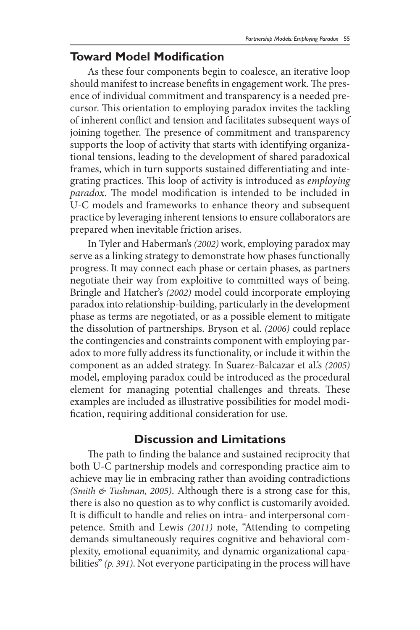### **Toward Model Modification**

As these four components begin to coalesce, an iterative loop should manifest to increase benefits in engagement work. The presence of individual commitment and transparency is a needed precursor. This orientation to employing paradox invites the tackling of inherent conflict and tension and facilitates subsequent ways of joining together. The presence of commitment and transparency supports the loop of activity that starts with identifying organizational tensions, leading to the development of shared paradoxical frames, which in turn supports sustained differentiating and integrating practices. This loop of activity is introduced as *employing paradox*. The model modification is intended to be included in U-C models and frameworks to enhance theory and subsequent practice by leveraging inherent tensions to ensure collaborators are prepared when inevitable friction arises.

In Tyler and Haberman's *(2002)* work, employing paradox may serve as a linking strategy to demonstrate how phases functionally progress. It may connect each phase or certain phases, as partners negotiate their way from exploitive to committed ways of being. Bringle and Hatcher's *(2002)* model could incorporate employing paradox into relationship-building, particularly in the development phase as terms are negotiated, or as a possible element to mitigate the dissolution of partnerships. Bryson et al. *(2006)* could replace the contingencies and constraints component with employing paradox to more fully address its functionality, or include it within the component as an added strategy. In Suarez-Balcazar et al.'s *(2005)*  model, employing paradox could be introduced as the procedural element for managing potential challenges and threats. These examples are included as illustrative possibilities for model modification, requiring additional consideration for use.

### **Discussion and Limitations**

The path to finding the balance and sustained reciprocity that both U-C partnership models and corresponding practice aim to achieve may lie in embracing rather than avoiding contradictions *(Smith & Tushman, 2005)*. Although there is a strong case for this, there is also no question as to why conflict is customarily avoided. It is difficult to handle and relies on intra- and interpersonal competence. Smith and Lewis *(2011)* note, "Attending to competing demands simultaneously requires cognitive and behavioral complexity, emotional equanimity, and dynamic organizational capabilities" *(p. 391)*. Not everyone participating in the process will have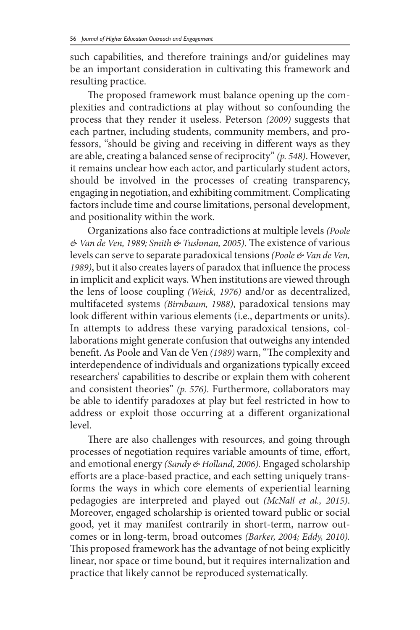such capabilities, and therefore trainings and/or guidelines may be an important consideration in cultivating this framework and resulting practice.

The proposed framework must balance opening up the complexities and contradictions at play without so confounding the process that they render it useless. Peterson *(2009)* suggests that each partner, including students, community members, and professors, "should be giving and receiving in different ways as they are able, creating a balanced sense of reciprocity" *(p. 548)*. However, it remains unclear how each actor, and particularly student actors, should be involved in the processes of creating transparency, engaging in negotiation, and exhibiting commitment. Complicating factors include time and course limitations, personal development, and positionality within the work.

Organizations also face contradictions at multiple levels *(Poole & Van de Ven, 1989; Smith & Tushman, 2005)*. The existence of various levels can serve to separate paradoxical tensions *(Poole & Van de Ven, 1989)*, but it also creates layers of paradox that influence the process in implicit and explicit ways. When institutions are viewed through the lens of loose coupling *(Weick, 1976)* and/or as decentralized, multifaceted systems *(Birnbaum, 1988)*, paradoxical tensions may look different within various elements (i.e., departments or units). In attempts to address these varying paradoxical tensions, collaborations might generate confusion that outweighs any intended benefit. As Poole and Van de Ven *(1989)* warn, "The complexity and interdependence of individuals and organizations typically exceed researchers' capabilities to describe or explain them with coherent and consistent theories" *(p. 576)*. Furthermore, collaborators may be able to identify paradoxes at play but feel restricted in how to address or exploit those occurring at a different organizational level.

There are also challenges with resources, and going through processes of negotiation requires variable amounts of time, effort, and emotional energy *(Sandy & Holland, 2006).* Engaged scholarship efforts are a place-based practice, and each setting uniquely transforms the ways in which core elements of experiential learning pedagogies are interpreted and played out *(McNall et al., 2015)*. Moreover, engaged scholarship is oriented toward public or social good, yet it may manifest contrarily in short-term, narrow outcomes or in long-term, broad outcomes *(Barker, 2004; Eddy, 2010).*  This proposed framework has the advantage of not being explicitly linear, nor space or time bound, but it requires internalization and practice that likely cannot be reproduced systematically.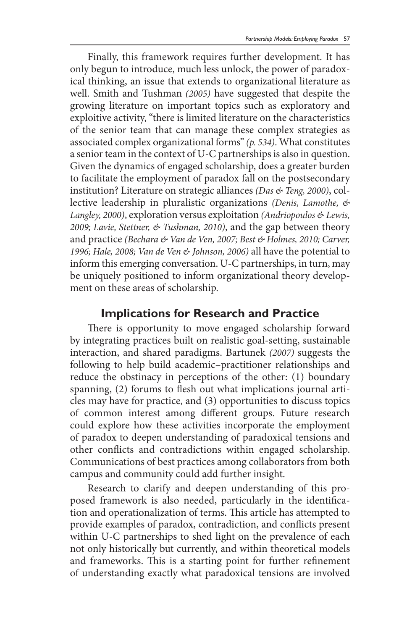Finally, this framework requires further development. It has only begun to introduce, much less unlock, the power of paradoxical thinking, an issue that extends to organizational literature as well. Smith and Tushman *(2005)* have suggested that despite the growing literature on important topics such as exploratory and exploitive activity, "there is limited literature on the characteristics of the senior team that can manage these complex strategies as associated complex organizational forms" *(p. 534)*. What constitutes a senior team in the context of U-C partnerships is also in question. Given the dynamics of engaged scholarship, does a greater burden to facilitate the employment of paradox fall on the postsecondary institution? Literature on strategic alliances *(Das & Teng, 2000)*, collective leadership in pluralistic organizations *(Denis, Lamothe, & Langley, 2000)*, exploration versus exploitation *(Andriopoulos & Lewis, 2009; Lavie, Stettner, & Tushman, 2010)*, and the gap between theory and practice *(Bechara & Van de Ven, 2007; Best & Holmes, 2010; Carver, 1996; Hale, 2008; Van de Ven & Johnson, 2006)* all have the potential to inform this emerging conversation. U-C partnerships, in turn, may be uniquely positioned to inform organizational theory development on these areas of scholarship.

#### **Implications for Research and Practice**

There is opportunity to move engaged scholarship forward by integrating practices built on realistic goal-setting, sustainable interaction, and shared paradigms. Bartunek *(2007)* suggests the following to help build academic–practitioner relationships and reduce the obstinacy in perceptions of the other: (1) boundary spanning, (2) forums to flesh out what implications journal articles may have for practice, and (3) opportunities to discuss topics of common interest among different groups. Future research could explore how these activities incorporate the employment of paradox to deepen understanding of paradoxical tensions and other conflicts and contradictions within engaged scholarship. Communications of best practices among collaborators from both campus and community could add further insight.

Research to clarify and deepen understanding of this proposed framework is also needed, particularly in the identification and operationalization of terms. This article has attempted to provide examples of paradox, contradiction, and conflicts present within U-C partnerships to shed light on the prevalence of each not only historically but currently, and within theoretical models and frameworks. This is a starting point for further refinement of understanding exactly what paradoxical tensions are involved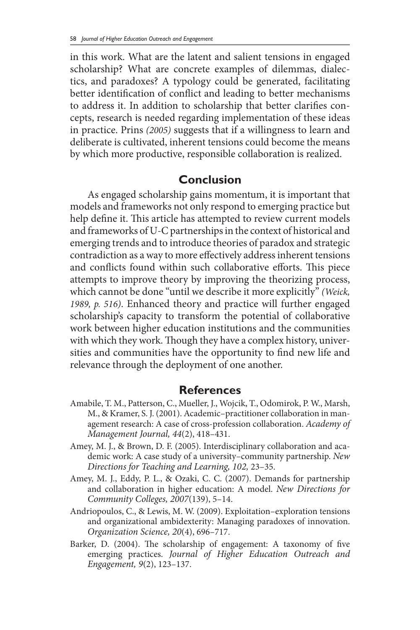in this work. What are the latent and salient tensions in engaged scholarship? What are concrete examples of dilemmas, dialectics, and paradoxes? A typology could be generated, facilitating better identification of conflict and leading to better mechanisms to address it. In addition to scholarship that better clarifies concepts, research is needed regarding implementation of these ideas in practice. Prins *(2005)* suggests that if a willingness to learn and deliberate is cultivated, inherent tensions could become the means by which more productive, responsible collaboration is realized.

### **Conclusion**

As engaged scholarship gains momentum, it is important that models and frameworks not only respond to emerging practice but help define it. This article has attempted to review current models and frameworks of U-C partnerships in the context of historical and emerging trends and to introduce theories of paradox and strategic contradiction as a way to more effectively address inherent tensions and conflicts found within such collaborative efforts. This piece attempts to improve theory by improving the theorizing process, which cannot be done "until we describe it more explicitly" *(Weick, 1989, p. 516)*. Enhanced theory and practice will further engaged scholarship's capacity to transform the potential of collaborative work between higher education institutions and the communities with which they work. Though they have a complex history, universities and communities have the opportunity to find new life and relevance through the deployment of one another.

#### **References**

- Amabile, T. M., Patterson, C., Mueller, J., Wojcik, T., Odomirok, P. W., Marsh, M., & Kramer, S. J. (2001). Academic–practitioner collaboration in management research: A case of cross-profession collaboration. *Academy of Management Journal, 44*(2), 418–431.
- Amey, M. J., & Brown, D. F. (2005). Interdisciplinary collaboration and academic work: A case study of a university–community partnership. *New Directions for Teaching and Learning, 102,* 23–35.
- Amey, M. J., Eddy, P. L., & Ozaki, C. C. (2007). Demands for partnership and collaboration in higher education: A model. *New Directions for Community Colleges, 2007*(139), 5–14.
- Andriopoulos, C., & Lewis, M. W. (2009). Exploitation–exploration tensions and organizational ambidexterity: Managing paradoxes of innovation. *Organization Science, 20*(4), 696–717.
- Barker, D. (2004). The scholarship of engagement: A taxonomy of five emerging practices. *Journal of Higher Education Outreach and Engagement, 9*(2), 123–137.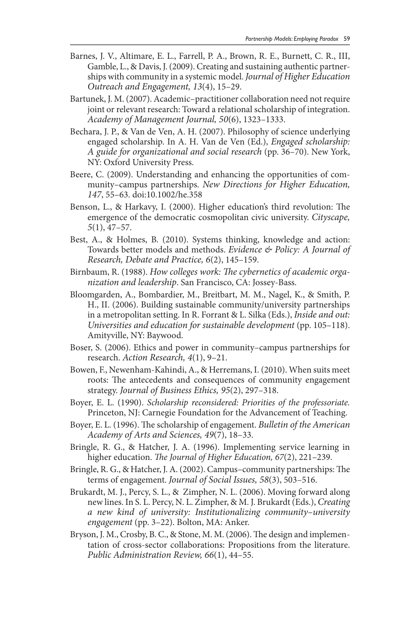- Barnes, J. V., Altimare, E. L., Farrell, P. A., Brown, R. E., Burnett, C. R., III, Gamble, L., & Davis, J. (2009). Creating and sustaining authentic partnerships with community in a systemic model. *Journal of Higher Education Outreach and Engagement, 13*(4), 15–29.
- Bartunek, J. M. (2007). Academic–practitioner collaboration need not require joint or relevant research: Toward a relational scholarship of integration. *Academy of Management Journal, 50*(6), 1323–1333.
- Bechara, J. P., & Van de Ven, A. H. (2007). Philosophy of science underlying engaged scholarship. In A. H. Van de Ven (Ed.), *Engaged scholarship: A guide for organizational and social research* (pp. 36–70). New York, NY: Oxford University Press.
- Beere, C. (2009). Understanding and enhancing the opportunities of community–campus partnerships. *New Directions for Higher Education, 147*, 55–63. doi:10.1002/he.358
- Benson, L., & Harkavy, I. (2000). Higher education's third revolution: The emergence of the democratic cosmopolitan civic university. *Cityscape, 5*(1), 47–57.
- Best, A., & Holmes, B. (2010). Systems thinking, knowledge and action: Towards better models and methods. *Evidence & Policy: A Journal of Research, Debate and Practice, 6*(2), 145–159.
- Birnbaum, R. (1988). *How colleges work: The cybernetics of academic organization and leadership*. San Francisco, CA: Jossey-Bass.
- Bloomgarden, A., Bombardier, M., Breitbart, M. M., Nagel, K., & Smith, P. H., II. (2006). Building sustainable community/university partnerships in a metropolitan setting. In R. Forrant & L. Silka (Eds.), *Inside and out: Universities and education for sustainable development* (pp. 105–118). Amityville, NY: Baywood.
- Boser, S. (2006). Ethics and power in community–campus partnerships for research. *Action Research, 4*(1), 9–21.
- Bowen, F., Newenham-Kahindi, A., & Herremans, I. (2010). When suits meet roots: The antecedents and consequences of community engagement strategy. *Journal of Business Ethics, 95*(2), 297–318.
- Boyer, E. L. (1990). *Scholarship reconsidered: Priorities of the professoriate.*  Princeton, NJ: Carnegie Foundation for the Advancement of Teaching.
- Boyer, E. L. (1996). The scholarship of engagement. *Bulletin of the American Academy of Arts and Sciences, 49*(7), 18–33.
- Bringle, R. G., & Hatcher, J. A. (1996). Implementing service learning in higher education. *The Journal of Higher Education, 67*(2), 221–239.
- Bringle, R. G., & Hatcher, J. A. (2002). Campus–community partnerships: The terms of engagement. *Journal of Social Issues, 58*(3), 503–516.
- Brukardt, M. J., Percy, S. L., & Zimpher, N. L. (2006). Moving forward along new lines. In S. L. Percy, N. L. Zimpher, & M. J. Brukardt (Eds.), *Creating a new kind of university: Institutionalizing community–university engagement* (pp. 3–22). Bolton, MA: Anker.
- Bryson, J. M., Crosby, B. C., & Stone, M. M. (2006). The design and implementation of cross-sector collaborations: Propositions from the literature. *Public Administration Review, 66*(1), 44–55.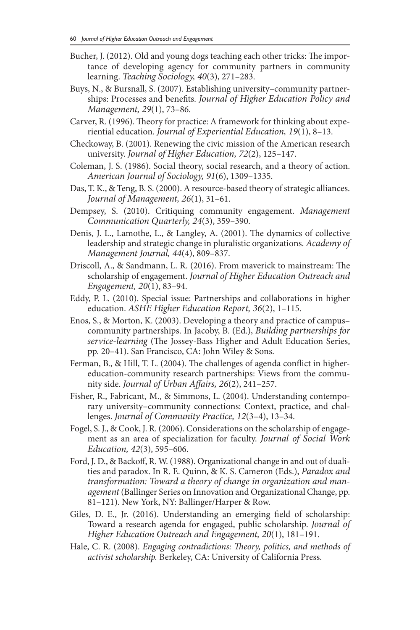- Bucher, J. (2012). Old and young dogs teaching each other tricks: The importance of developing agency for community partners in community learning. *Teaching Sociology, 40*(3), 271–283.
- Buys, N., & Bursnall, S. (2007). Establishing university–community partnerships: Processes and benefits. *Journal of Higher Education Policy and Management, 29*(1), 73–86.
- Carver, R. (1996). Theory for practice: A framework for thinking about experiential education. *Journal of Experiential Education, 19*(1), 8–13.
- Checkoway, B. (2001). Renewing the civic mission of the American research university. *Journal of Higher Education, 72*(2), 125–147.
- Coleman, J. S. (1986). Social theory, social research, and a theory of action. *American Journal of Sociology, 91*(6), 1309–1335.
- Das, T. K., & Teng, B. S. (2000). A resource-based theory of strategic alliances. *Journal of Management, 26*(1), 31–61.
- Dempsey, S. (2010). Critiquing community engagement. *Management Communication Quarterly, 24*(3), 359–390.
- Denis, J. L., Lamothe, L., & Langley, A. (2001). The dynamics of collective leadership and strategic change in pluralistic organizations. *Academy of Management Journal, 44*(4), 809–837.
- Driscoll, A., & Sandmann, L. R. (2016). From maverick to mainstream: The scholarship of engagement. *Journal of Higher Education Outreach and Engagement, 20*(1), 83–94.
- Eddy, P. L. (2010). Special issue: Partnerships and collaborations in higher education. *ASHE Higher Education Report, 36*(2), 1–115.
- Enos, S., & Morton, K. (2003). Developing a theory and practice of campus– community partnerships. In Jacoby, B. (Ed.), *Building partnerships for service-learning* (The Jossey-Bass Higher and Adult Education Series, pp. 20–41). San Francisco, CA: John Wiley & Sons.
- Ferman, B., & Hill, T. L. (2004). The challenges of agenda conflict in highereducation-community research partnerships: Views from the community side. *Journal of Urban Affairs, 26*(2), 241–257.
- Fisher, R., Fabricant, M., & Simmons, L. (2004). Understanding contemporary university–community connections: Context, practice, and challenges. *Journal of Community Practice, 12*(3–4), 13–34.
- Fogel, S. J., & Cook, J. R. (2006). Considerations on the scholarship of engagement as an area of specialization for faculty. *Journal of Social Work Education, 42*(3), 595–606.
- Ford, J. D., & Backoff, R. W. (1988). Organizational change in and out of dualities and paradox. In R. E. Quinn, & K. S. Cameron (Eds.), *Paradox and transformation: Toward a theory of change in organization and management* (Ballinger Series on Innovation and Organizational Change, pp. 81–121). New York, NY: Ballinger/Harper & Row.
- Giles, D. E., Jr. (2016). Understanding an emerging field of scholarship: Toward a research agenda for engaged, public scholarship. *Journal of Higher Education Outreach and Engagement, 20*(1), 181–191.
- Hale, C. R. (2008). *Engaging contradictions: Theory, politics, and methods of activist scholarship.* Berkeley, CA: University of California Press.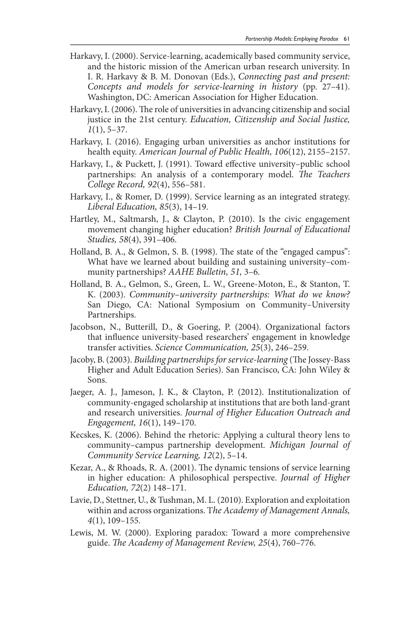- Harkavy, I. (2000). Service-learning, academically based community service, and the historic mission of the American urban research university. In I. R. Harkavy & B. M. Donovan (Eds.), *Connecting past and present: Concepts and models for service-learning in history* (pp. 27–41). Washington, DC: American Association for Higher Education.
- Harkavy, I. (2006). The role of universities in advancing citizenship and social justice in the 21st century. *Education, Citizenship and Social Justice, 1*(1), 5–37.
- Harkavy, I. (2016). Engaging urban universities as anchor institutions for health equity. *American Journal of Public Health, 106*(12), 2155–2157.
- Harkavy, I., & Puckett, J. (1991). Toward effective university–public school partnerships: An analysis of a contemporary model. *The Teachers College Record, 92*(4), 556–581.
- Harkavy, I., & Romer, D. (1999). Service learning as an integrated strategy. *Liberal Education, 85*(3), 14–19.
- Hartley, M., Saltmarsh, J., & Clayton, P. (2010). Is the civic engagement movement changing higher education? *British Journal of Educational Studies, 58*(4), 391–406.
- Holland, B. A., & Gelmon, S. B. (1998). The state of the "engaged campus": What have we learned about building and sustaining university–community partnerships? *AAHE Bulletin, 51,* 3–6.
- Holland, B. A., Gelmon, S., Green, L. W., Greene-Moton, E., & Stanton, T. K. (2003). *Community–university partnerships: What do we know?*  San Diego, CA: National Symposium on Community–University Partnerships.
- Jacobson, N., Butterill, D., & Goering, P. (2004). Organizational factors that influence university-based researchers' engagement in knowledge transfer activities. *Science Communication, 25*(3), 246–259.
- Jacoby, B. (2003). *Building partnerships for service-learning* (The Jossey-Bass Higher and Adult Education Series). San Francisco, CA: John Wiley & Sons.
- Jaeger, A. J., Jameson, J. K., & Clayton, P. (2012). Institutionalization of community-engaged scholarship at institutions that are both land-grant and research universities. *Journal of Higher Education Outreach and Engagement, 16*(1), 149–170.
- Kecskes, K. (2006). Behind the rhetoric: Applying a cultural theory lens to community–campus partnership development. *Michigan Journal of Community Service Learning, 12*(2), 5–14.
- Kezar, A., & Rhoads, R. A. (2001). The dynamic tensions of service learning in higher education: A philosophical perspective. *Journal of Higher Education, 72*(2) 148–171.
- Lavie, D., Stettner, U., & Tushman, M. L. (2010). Exploration and exploitation within and across organizations. T*he Academy of Management Annals, 4*(1), 109–155.
- Lewis, M. W. (2000). Exploring paradox: Toward a more comprehensive guide. *The Academy of Management Review, 25*(4), 760–776.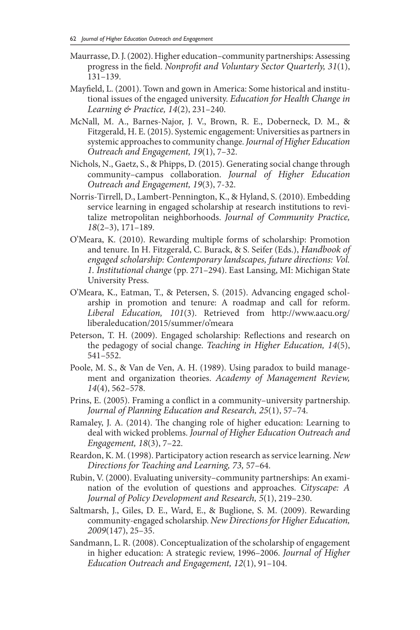- Maurrasse, D. J. (2002). Higher education–community partnerships: Assessing progress in the field. *Nonprofit and Voluntary Sector Quarterly, 31*(1), 131–139.
- Mayfield, L. (2001). Town and gown in America: Some historical and institutional issues of the engaged university. *Education for Health Change in Learning & Practice, 14*(2), 231–240.
- McNall, M. A., Barnes-Najor, J. V., Brown, R. E., Doberneck, D. M., & Fitzgerald, H. E. (2015). Systemic engagement: Universities as partners in systemic approaches to community change. *Journal of Higher Education Outreach and Engagement, 19*(1), 7–32.
- Nichols, N., Gaetz, S., & Phipps, D. (2015). Generating social change through community–campus collaboration. *Journal of Higher Education Outreach and Engagement, 19*(3), 7-32.
- Norris-Tirrell, D., Lambert-Pennington, K., & Hyland, S. (2010). Embedding service learning in engaged scholarship at research institutions to revitalize metropolitan neighborhoods. *Journal of Community Practice, 18*(2–3), 171–189.
- O'Meara, K. (2010). Rewarding multiple forms of scholarship: Promotion and tenure. In H. Fitzgerald, C. Burack, & S. Seifer (Eds.), *Handbook of engaged scholarship: Contemporary landscapes, future directions: Vol. 1. Institutional change* (pp. 271–294). East Lansing, MI: Michigan State University Press.
- O'Meara, K., Eatman, T., & Petersen, S. (2015). Advancing engaged scholarship in promotion and tenure: A roadmap and call for reform. *Liberal Education, 101*(3). Retrieved from http://www.aacu.org/ liberaleducation/2015/summer/o'meara
- Peterson, T. H. (2009). Engaged scholarship: Reflections and research on the pedagogy of social change. *Teaching in Higher Education, 14*(5), 541–552.
- Poole, M. S., & Van de Ven, A. H. (1989). Using paradox to build management and organization theories. *Academy of Management Review, 14*(4), 562–578.
- Prins, E. (2005). Framing a conflict in a community–university partnership. *Journal of Planning Education and Research, 25*(1), 57–74.
- Ramaley, J. A. (2014). The changing role of higher education: Learning to deal with wicked problems. *Journal of Higher Education Outreach and Engagement, 18*(3), 7–22.
- Reardon, K. M. (1998). Participatory action research as service learning. *New Directions for Teaching and Learning, 73,* 57–64.
- Rubin, V. (2000). Evaluating university–community partnerships: An examination of the evolution of questions and approaches. *Cityscape: A Journal of Policy Development and Research, 5*(1), 219–230.
- Saltmarsh, J., Giles, D. E., Ward, E., & Buglione, S. M. (2009). Rewarding community-engaged scholarship. *New Directions for Higher Education, 2009*(147), 25–35.
- Sandmann, L. R. (2008). Conceptualization of the scholarship of engagement in higher education: A strategic review, 1996–2006. *Journal of Higher Education Outreach and Engagement, 12*(1), 91–104.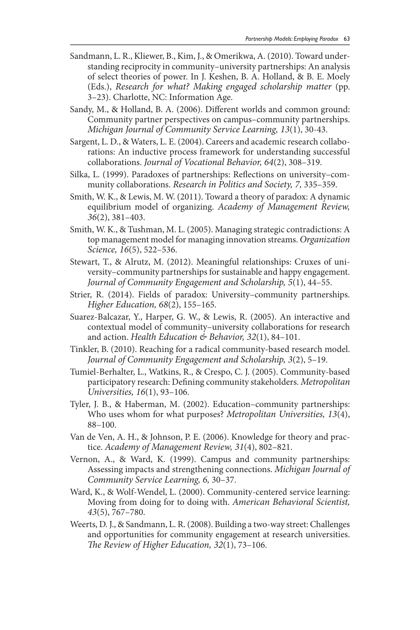- Sandmann, L. R., Kliewer, B., Kim, J., & Omerikwa, A. (2010). Toward understanding reciprocity in community–university partnerships: An analysis of select theories of power. In J. Keshen, B. A. Holland, & B. E. Moely (Eds.), *Research for what? Making engaged scholarship matter* (pp. 3–23). Charlotte, NC: Information Age.
- Sandy, M., & Holland, B. A. (2006). Different worlds and common ground: Community partner perspectives on campus–community partnerships. *Michigan Journal of Community Service Learning, 13*(1), 30-43.
- Sargent, L. D., & Waters, L. E. (2004). Careers and academic research collaborations: An inductive process framework for understanding successful collaborations. *Journal of Vocational Behavior, 64*(2), 308–319.
- Silka, L. (1999). Paradoxes of partnerships: Reflections on university–community collaborations. *Research in Politics and Society, 7,* 335–359.
- Smith, W. K., & Lewis, M. W. (2011). Toward a theory of paradox: A dynamic equilibrium model of organizing. *Academy of Management Review, 36*(2), 381–403.
- Smith, W. K., & Tushman, M. L. (2005). Managing strategic contradictions: A top management model for managing innovation streams. *Organization Science, 16*(5), 522–536.
- Stewart, T., & Alrutz, M. (2012). Meaningful relationships: Cruxes of university–community partnerships for sustainable and happy engagement. *Journal of Community Engagement and Scholarship, 5*(1), 44–55.
- Strier, R. (2014). Fields of paradox: University–community partnerships. *Higher Education, 68*(2), 155–165.
- Suarez-Balcazar, Y., Harper, G. W., & Lewis, R. (2005). An interactive and contextual model of community–university collaborations for research and action. *Health Education & Behavior, 32*(1), 84–101.
- Tinkler, B. (2010). Reaching for a radical community-based research model. *Journal of Community Engagement and Scholarship, 3*(2), 5–19.
- Tumiel-Berhalter, L., Watkins, R., & Crespo, C. J. (2005). Community-based participatory research: Defining community stakeholders. *Metropolitan Universities, 16*(1), 93–106.
- Tyler, J. B., & Haberman, M. (2002). Education–community partnerships: Who uses whom for what purposes? *Metropolitan Universities, 13*(4), 88–100.
- Van de Ven, A. H., & Johnson, P. E. (2006). Knowledge for theory and practice. *Academy of Management Review, 31*(4), 802–821.
- Vernon, A., & Ward, K. (1999). Campus and community partnerships: Assessing impacts and strengthening connections. *Michigan Journal of Community Service Learning, 6,* 30–37.
- Ward, K., & Wolf-Wendel, L. (2000). Community-centered service learning: Moving from doing for to doing with. *American Behavioral Scientist, 43*(5), 767–780.
- Weerts, D. J., & Sandmann, L. R. (2008). Building a two-way street: Challenges and opportunities for community engagement at research universities. *The Review of Higher Education, 32*(1), 73–106.